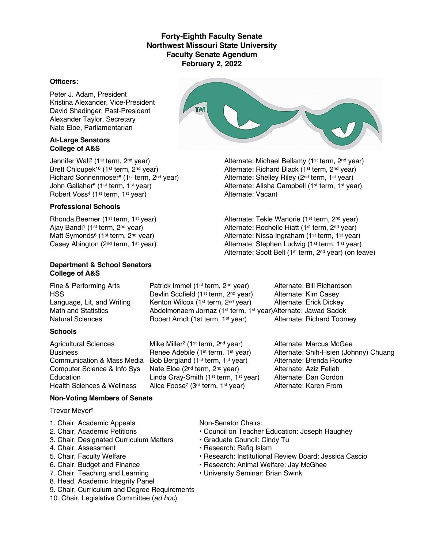# **Forty-Eighth Faculty Senate Northwest Missouri State University Faculty Senate Agendum February 2, 2022**

#### **Officers:**

Peter J. Adam, President Kristina Alexander, Vice-President David Shadinger, Past-President Alexander Taylor, Secretary Nate Eloe, Parliamentarian

#### **At-Large Senators College of A&S**

Jennifer Wall<sup>3</sup> (1<sup>st</sup> term, 2<sup>nd</sup> year) Alternate: Michael Bellamy (1<sup>st</sup> term, 2<sup>nd</sup> year) Robert Voss<sup>4</sup> (1<sup>st</sup> term, 1<sup>st</sup> year)

### **Professional Schools**

#### **Department & School Senators College of A&S**

HSS Devlin Scofield (1<sup>st</sup> term, 2<sup>nd</sup> year)

### **Schools**

Abdelmonaem Jornaz (1<sup>st</sup> term, 1<sup>st</sup> year)Alternate: Jawad Sadek Natural Sciences **Robert Arndt (1st term, 1st year)** Alternate: Richard Toomey Agricultural Sciences Mike Miller<sup>2</sup> (1<sup>st</sup> term, 2<sup>nd</sup> year) Alternate: Marcus McGee

Communication & Mass Media Bob Bergland (1st term, 1st year) Alternate: Brenda Rourke Computer Science & Info Sys Nate Eloe (2<sup>nd</sup> term, 2<sup>nd</sup> year) Alternate: Aziz Fellah<br>Education Linda Grav-Smith (1<sup>st</sup> term, 1<sup>st</sup> year) Alternate: Dan Gordon Education Linda Gray-Smith (1<sup>st</sup> term, 1<sup>st</sup> year) Alternate: Dan Gordon<br>Health Sciences & Wellness Alice Foose<sup>7</sup> (3<sup>rd</sup> term, 1<sup>st</sup> year) Alternate: Karen From Alice Foose<sup>7</sup> (3<sup>rd</sup> term, 1<sup>st</sup> year)

Fine & Performing Arts Patrick Immel (1<sup>st</sup> term, 2<sup>nd</sup> year) Alternate: Bill Richardson<br>HSS Performing Arts Devlin Scofield (1<sup>st</sup> term, 2<sup>nd</sup> year) Alternate: Kim Casey Language, Lit, and Writing Kenton Wilcox (1<sup>st</sup> term, 2<sup>nd</sup> year) Alternate: Erick Dickey<br>Math and Statistics **Abdelmonaem Jornaz (1<sup>st</sup> term, 1<sup>st</sup> vear)Alternate: Jawad Sadek** 

Business **Renee Adebile (1st term, 1st year)** Alternate: Shih-Hsien (Johnny) Chuang

### **Non-Voting Members of Senate**

Trevor Meyer9

- 1. Chair, Academic Appeals Non-Senator Chairs:
- 
- 3. Chair, Designated Curriculum Matters Graduate Council: Cindy Tu
- 4. Chair, Assessment **Francisco Exercise Research: Rafiq Islam**
- 
- 
- 
- 8. Head, Academic Integrity Panel
- 9. Chair, Curriculum and Degree Requirements
- 10. Chair, Legislative Committee (*ad hoc*)

- 2. Chair, Academic Petitions Council on Teacher Education: Joseph Haughey
	-
	-
- 5. Chair, Faculty Welfare  **Research: Institutional Review Board: Jessica Cascio**
- 6. Chair, Budget and Finance  **Research: Animal Welfare: Jay McGhee**
- 7. Chair, Teaching and Learning  **University Seminar: Brian Swink**



Brett Chloupek<sup>10</sup> (1<sup>st</sup> term, 2<sup>nd</sup> year) Alternate: Richard Black (1<sup>st</sup> term, 2<sup>nd</sup> year) Richard Sonnenmoser<sup>8</sup> (1<sup>st</sup> term, 2<sup>nd</sup> year) Alternate: Shelley Riley (2<sup>nd</sup> term, 1<sup>st</sup> year) John Gallaher<sup>5</sup> (1st term, 1st year) Alternate: Alisha Campbell (1st term, 1st year)<br>
Alternate: Vacant<br>
Alternate: Vacant

Rhonda Beemer (1<sup>st</sup> term, 1<sup>st</sup> year) Alternate: Tekle Wanorie (1<sup>st</sup> term, 2<sup>nd</sup> year) Ajay Bandi<sup>1</sup> (1<sup>st</sup> term, 2<sup>nd</sup> year) Alternate: Rochelle Hiatt (1<sup>st</sup> term, 2<sup>nd</sup> year) Matt Symonds<sup>6</sup> (1<sup>st</sup> term, 2<sup>nd</sup> year) <br>Casey Abington (2<sup>nd</sup> term, 1<sup>st</sup> year) <br>Alternate: Stephen Ludwig (1<sup>st</sup> term, 1<sup>st</sup> year) Alternate: Stephen Ludwig (1st term, 1st year) Alternate: Scott Bell (1st term, 2nd year) (on leave)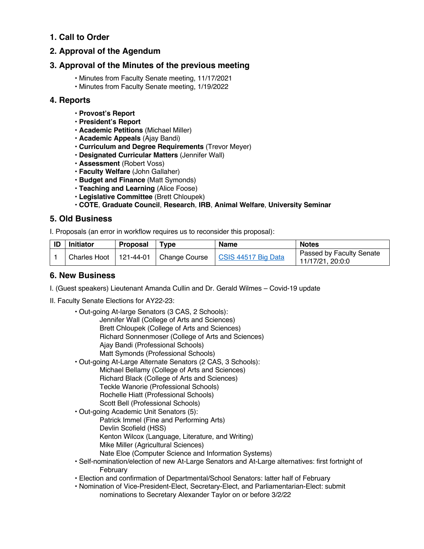# **1. Call to Order**

# **2. Approval of the Agendum**

# **3. Approval of the Minutes of the previous meeting**

- Minutes from Faculty Senate meeting, 11/17/2021
- Minutes from Faculty Senate meeting, 1/19/2022

# **4. Reports**

- **Provost's Report**
- **President's Report**
- **Academic Petitions** (Michael Miller)
- **Academic Appeals** (Ajay Bandi)
- **Curriculum and Degree Requirements** (Trevor Meyer)
- **Designated Curricular Matters** (Jennifer Wall)
- **Assessment** (Robert Voss)
- **Faculty Welfare** (John Gallaher)
- **Budget and Finance** (Matt Symonds)
- **Teaching and Learning** (Alice Foose)
- **Legislative Committee** (Brett Chloupek)

### • **COTE**, **Graduate Council**, **Research**, **IRB**, **Animal Welfare**, **University Seminar**

# **5. Old Business**

I. Proposals (an error in workflow requires us to reconsider this proposal):

| <b>ID</b> | <b>Initiator</b> | <b>Proposal</b> | Tvpe                                     | <b>Name</b>         | <b>Notes</b>                                 |
|-----------|------------------|-----------------|------------------------------------------|---------------------|----------------------------------------------|
|           |                  |                 | Charles Hoot   121-44-01   Change Course | CSIS 44517 Big Data | Passed by Faculty Senate<br>11/17/21, 20:0:0 |

# **6. New Business**

- I. (Guest speakers) Lieutenant Amanda Cullin and Dr. Gerald Wilmes Covid-19 update
- II. Faculty Senate Elections for AY22-23:
	- Out-going At-large Senators (3 CAS, 2 Schools): Jennifer Wall (College of Arts and Sciences) Brett Chloupek (College of Arts and Sciences) Richard Sonnenmoser (College of Arts and Sciences) Ajay Bandi (Professional Schools) Matt Symonds (Professional Schools)
	- Out-going At-Large Alternate Senators (2 CAS, 3 Schools): Michael Bellamy (College of Arts and Sciences) Richard Black (College of Arts and Sciences) Teckle Wanorie (Professional Schools) Rochelle Hiatt (Professional Schools) Scott Bell (Professional Schools)
	- Out-going Academic Unit Senators (5):
		- Patrick Immel (Fine and Performing Arts) Devlin Scofield (HSS) Kenton Wilcox (Language, Literature, and Writing) Mike Miller (Agricultural Sciences) Nate Eloe (Computer Science and Information Systems)
	- Self-nomination/election of new At-Large Senators and At-Large alternatives: first fortnight of February
	- Election and confirmation of Departmental/School Senators: latter half of February
	- Nomination of Vice-President-Elect, Secretary-Elect, and Parliamentarian-Elect: submit nominations to Secretary Alexander Taylor on or before 3/2/22